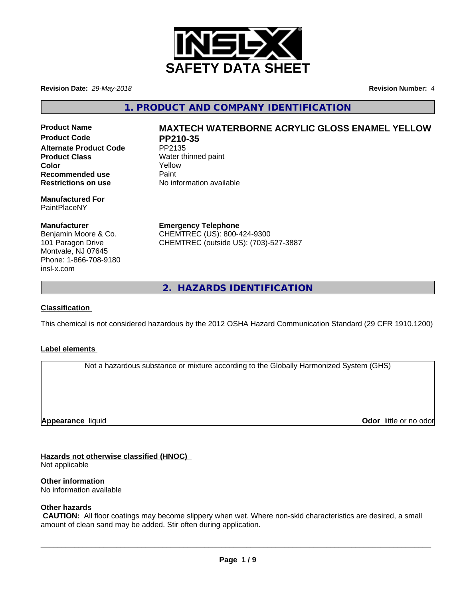

**Revision Date:** *29-May-2018* **Revision Number:** *4*

**1. PRODUCT AND COMPANY IDENTIFICATION**

Product Code PP210-35 **Alternate Product Code** PP2135 **Product Class** Water thinned paint **Color** Yellow **Recommended use** Paint<br> **Restrictions on use** No inf

#### **Manufactured For** PaintPlaceNY

#### **Manufacturer**

Benjamin Moore & Co. 101 Paragon Drive Montvale, NJ 07645 Phone: 1-866-708-9180 insl-x.com

# **Product Name MAXTECH WATERBORNE ACRYLIC GLOSS ENAMEL YELLOW**

**No information available** 

**Emergency Telephone** CHEMTREC (US): 800-424-9300 CHEMTREC (outside US): (703)-527-3887

**2. HAZARDS IDENTIFICATION**

## **Classification**

This chemical is not considered hazardous by the 2012 OSHA Hazard Communication Standard (29 CFR 1910.1200)

## **Label elements**

Not a hazardous substance or mixture according to the Globally Harmonized System (GHS)

**Appearance** liquid

**Odor** little or no odor

# **Hazards not otherwise classified (HNOC)**

Not applicable

**Other information**

No information available

# **Other hazards**

 **CAUTION:** All floor coatings may become slippery when wet. Where non-skid characteristics are desired, a small amount of clean sand may be added. Stir often during application.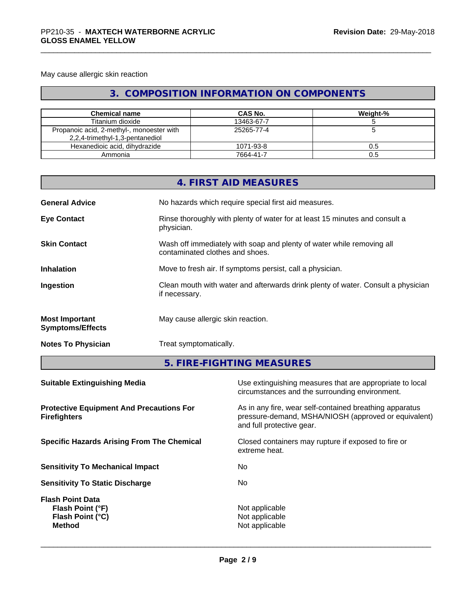May cause allergic skin reaction

# **3. COMPOSITION INFORMATION ON COMPONENTS**

| <b>Chemical name</b>                                                         | CAS No.    | Weight-% |
|------------------------------------------------------------------------------|------------|----------|
| Titanium dioxide                                                             | 13463-67-7 |          |
| Propanoic acid, 2-methyl-, monoester with<br>2,2,4-trimethyl-1,3-pentanediol | 25265-77-4 |          |
| Hexanedioic acid, dihydrazide                                                | 1071-93-8  | 0.5      |
| Ammonia                                                                      | 7664-41-7  | 0.5      |

|                                                  | 4. FIRST AID MEASURES                                                                                    |
|--------------------------------------------------|----------------------------------------------------------------------------------------------------------|
| <b>General Advice</b>                            | No hazards which require special first aid measures.                                                     |
| <b>Eye Contact</b>                               | Rinse thoroughly with plenty of water for at least 15 minutes and consult a<br>physician.                |
| <b>Skin Contact</b>                              | Wash off immediately with soap and plenty of water while removing all<br>contaminated clothes and shoes. |
| <b>Inhalation</b>                                | Move to fresh air. If symptoms persist, call a physician.                                                |
| Ingestion                                        | Clean mouth with water and afterwards drink plenty of water. Consult a physician<br>if necessary.        |
| <b>Most Important</b><br><b>Symptoms/Effects</b> | May cause allergic skin reaction.                                                                        |
| <b>Notes To Physician</b>                        | Treat symptomatically.                                                                                   |

**5. FIRE-FIGHTING MEASURES**

| <b>Suitable Extinguishing Media</b>                                                     | Use extinguishing measures that are appropriate to local<br>circumstances and the surrounding environment.                                   |
|-----------------------------------------------------------------------------------------|----------------------------------------------------------------------------------------------------------------------------------------------|
| <b>Protective Equipment And Precautions For</b><br><b>Firefighters</b>                  | As in any fire, wear self-contained breathing apparatus<br>pressure-demand, MSHA/NIOSH (approved or equivalent)<br>and full protective gear. |
| <b>Specific Hazards Arising From The Chemical</b>                                       | Closed containers may rupture if exposed to fire or<br>extreme heat.                                                                         |
| <b>Sensitivity To Mechanical Impact</b>                                                 | No.                                                                                                                                          |
| <b>Sensitivity To Static Discharge</b>                                                  | No.                                                                                                                                          |
| <b>Flash Point Data</b><br>Flash Point (°F)<br><b>Flash Point (°C)</b><br><b>Method</b> | Not applicable<br>Not applicable<br>Not applicable                                                                                           |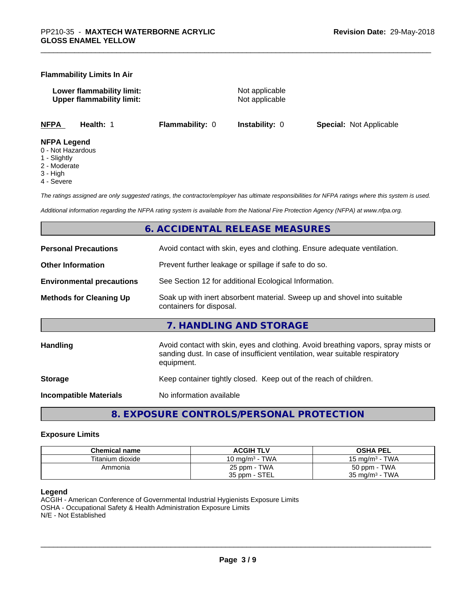#### **Flammability Limits In Air**

**Lower flammability limit:** Not applicable **Upper flammability limit:** Not applicable

**NFPA Health:** 1 **Flammability:** 0 **Instability:** 0 **Special:** Not Applicable

#### **NFPA Legend**

- 0 Not Hazardous
- 1 Slightly
- 2 Moderate
- 3 High
- 4 Severe

*The ratings assigned are only suggested ratings, the contractor/employer has ultimate responsibilities for NFPA ratings where this system is used.*

*Additional information regarding the NFPA rating system is available from the National Fire Protection Agency (NFPA) at www.nfpa.org.*

# **6. ACCIDENTAL RELEASE MEASURES**

| <b>Personal Precautions</b>      | Avoid contact with skin, eyes and clothing. Ensure adequate ventilation.                                                                                                         |
|----------------------------------|----------------------------------------------------------------------------------------------------------------------------------------------------------------------------------|
| <b>Other Information</b>         | Prevent further leakage or spillage if safe to do so.                                                                                                                            |
| <b>Environmental precautions</b> | See Section 12 for additional Ecological Information.                                                                                                                            |
| <b>Methods for Cleaning Up</b>   | Soak up with inert absorbent material. Sweep up and shovel into suitable<br>containers for disposal.                                                                             |
|                                  | 7. HANDLING AND STORAGE                                                                                                                                                          |
| Handling                         | Avoid contact with skin, eyes and clothing. Avoid breathing vapors, spray mists or<br>sanding dust. In case of insufficient ventilation, wear suitable respiratory<br>equipment. |
| <b>Storage</b>                   | Keep container tightly closed. Keep out of the reach of children.                                                                                                                |
| <b>Incompatible Materials</b>    | No information available                                                                                                                                                         |
|                                  |                                                                                                                                                                                  |

**8. EXPOSURE CONTROLS/PERSONAL PROTECTION**

#### **Exposure Limits**

| <b>Chemical name</b> | <b>ACGIH TLV</b>           | <b>OSHA PEL</b>                                          |
|----------------------|----------------------------|----------------------------------------------------------|
| Titanium dioxide     | 10 ma/m <sup>3</sup> - TWA | - TWA<br>15 mg/m <sup>3</sup> - $\overline{\phantom{a}}$ |
| Ammonia              | 25 ppm - TWA               | 50 ppm - TWA                                             |
|                      | 35 ppm - STEL              | · TWA<br>35 mg/m <sup>3</sup> - $\overline{1}$           |

#### **Legend**

ACGIH - American Conference of Governmental Industrial Hygienists Exposure Limits OSHA - Occupational Safety & Health Administration Exposure Limits N/E - Not Established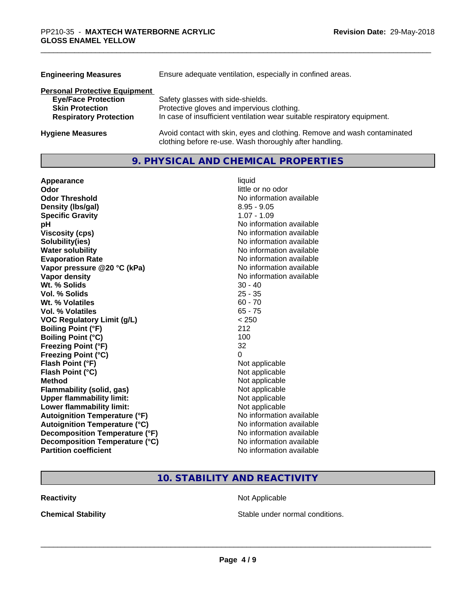| <b>Engineering Measures</b>          | Ensure adequate ventilation, especially in confined areas.                                                                          |  |  |
|--------------------------------------|-------------------------------------------------------------------------------------------------------------------------------------|--|--|
| <b>Personal Protective Equipment</b> |                                                                                                                                     |  |  |
| <b>Eye/Face Protection</b>           | Safety glasses with side-shields.                                                                                                   |  |  |
| <b>Skin Protection</b>               | Protective gloves and impervious clothing.                                                                                          |  |  |
| <b>Respiratory Protection</b>        | In case of insufficient ventilation wear suitable respiratory equipment.                                                            |  |  |
| <b>Hygiene Measures</b>              | Avoid contact with skin, eyes and clothing. Remove and wash contaminated<br>clothing before re-use. Wash thoroughly after handling. |  |  |

# **9. PHYSICAL AND CHEMICAL PROPERTIES**

| Appearance                           | liquid                   |
|--------------------------------------|--------------------------|
| Odor                                 | little or no odor        |
| <b>Odor Threshold</b>                | No information available |
| Density (Ibs/gal)                    | $8.95 - 9.05$            |
| <b>Specific Gravity</b>              | $1.07 - 1.09$            |
| рH                                   | No information available |
| <b>Viscosity (cps)</b>               | No information available |
| Solubility(ies)                      | No information available |
| <b>Water solubility</b>              | No information available |
| <b>Evaporation Rate</b>              | No information available |
| Vapor pressure @20 °C (kPa)          | No information available |
| Vapor density                        | No information available |
| Wt. % Solids                         | $30 - 40$                |
| Vol. % Solids                        | $25 - 35$                |
| Wt. % Volatiles                      | $60 - 70$                |
| Vol. % Volatiles                     | $65 - 75$                |
| <b>VOC Regulatory Limit (g/L)</b>    | < 250                    |
| <b>Boiling Point (°F)</b>            | 212                      |
| <b>Boiling Point (°C)</b>            | 100                      |
| <b>Freezing Point (°F)</b>           | 32                       |
| <b>Freezing Point (°C)</b>           | 0                        |
| Flash Point (°F)                     | Not applicable           |
| Flash Point (°C)                     | Not applicable           |
| <b>Method</b>                        | Not applicable           |
| Flammability (solid, gas)            | Not applicable           |
| <b>Upper flammability limit:</b>     | Not applicable           |
| Lower flammability limit:            | Not applicable           |
| <b>Autoignition Temperature (°F)</b> | No information available |
| <b>Autoignition Temperature (°C)</b> | No information available |
| Decomposition Temperature (°F)       | No information available |
| Decomposition Temperature (°C)       | No information available |
| <b>Partition coefficient</b>         | No information available |

# **10. STABILITY AND REACTIVITY**

**Reactivity Not Applicable Not Applicable** 

**Chemical Stability Chemical Stability** Stable under normal conditions.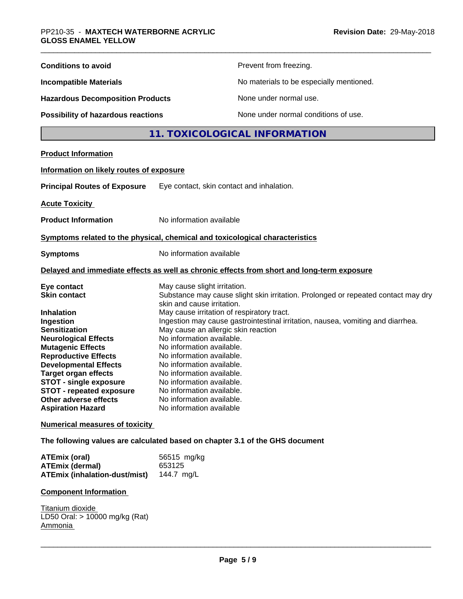| <b>Conditions to avoid</b>                                                                                                                                                                                                                                                                                                                                                     | Prevent from freezing.                                                                                                                                                                                                                                                                                                                                                                                                                                                                                                                                                                     |  |  |
|--------------------------------------------------------------------------------------------------------------------------------------------------------------------------------------------------------------------------------------------------------------------------------------------------------------------------------------------------------------------------------|--------------------------------------------------------------------------------------------------------------------------------------------------------------------------------------------------------------------------------------------------------------------------------------------------------------------------------------------------------------------------------------------------------------------------------------------------------------------------------------------------------------------------------------------------------------------------------------------|--|--|
| <b>Incompatible Materials</b>                                                                                                                                                                                                                                                                                                                                                  | No materials to be especially mentioned.                                                                                                                                                                                                                                                                                                                                                                                                                                                                                                                                                   |  |  |
| <b>Hazardous Decomposition Products</b>                                                                                                                                                                                                                                                                                                                                        | None under normal use.                                                                                                                                                                                                                                                                                                                                                                                                                                                                                                                                                                     |  |  |
| <b>Possibility of hazardous reactions</b>                                                                                                                                                                                                                                                                                                                                      | None under normal conditions of use.                                                                                                                                                                                                                                                                                                                                                                                                                                                                                                                                                       |  |  |
|                                                                                                                                                                                                                                                                                                                                                                                | 11. TOXICOLOGICAL INFORMATION                                                                                                                                                                                                                                                                                                                                                                                                                                                                                                                                                              |  |  |
| <b>Product Information</b>                                                                                                                                                                                                                                                                                                                                                     |                                                                                                                                                                                                                                                                                                                                                                                                                                                                                                                                                                                            |  |  |
| Information on likely routes of exposure                                                                                                                                                                                                                                                                                                                                       |                                                                                                                                                                                                                                                                                                                                                                                                                                                                                                                                                                                            |  |  |
| <b>Principal Routes of Exposure</b>                                                                                                                                                                                                                                                                                                                                            | Eye contact, skin contact and inhalation.                                                                                                                                                                                                                                                                                                                                                                                                                                                                                                                                                  |  |  |
| <b>Acute Toxicity</b>                                                                                                                                                                                                                                                                                                                                                          |                                                                                                                                                                                                                                                                                                                                                                                                                                                                                                                                                                                            |  |  |
| <b>Product Information</b>                                                                                                                                                                                                                                                                                                                                                     | No information available                                                                                                                                                                                                                                                                                                                                                                                                                                                                                                                                                                   |  |  |
|                                                                                                                                                                                                                                                                                                                                                                                | Symptoms related to the physical, chemical and toxicological characteristics                                                                                                                                                                                                                                                                                                                                                                                                                                                                                                               |  |  |
| <b>Symptoms</b>                                                                                                                                                                                                                                                                                                                                                                | No information available                                                                                                                                                                                                                                                                                                                                                                                                                                                                                                                                                                   |  |  |
|                                                                                                                                                                                                                                                                                                                                                                                | Delayed and immediate effects as well as chronic effects from short and long-term exposure                                                                                                                                                                                                                                                                                                                                                                                                                                                                                                 |  |  |
| Eye contact<br><b>Skin contact</b><br><b>Inhalation</b><br>Ingestion<br><b>Sensitization</b><br><b>Neurological Effects</b><br><b>Mutagenic Effects</b><br><b>Reproductive Effects</b><br><b>Developmental Effects</b><br><b>Target organ effects</b><br><b>STOT - single exposure</b><br><b>STOT - repeated exposure</b><br>Other adverse effects<br><b>Aspiration Hazard</b> | May cause slight irritation.<br>Substance may cause slight skin irritation. Prolonged or repeated contact may dry<br>skin and cause irritation.<br>May cause irritation of respiratory tract.<br>Ingestion may cause gastrointestinal irritation, nausea, vomiting and diarrhea.<br>May cause an allergic skin reaction<br>No information available.<br>No information available.<br>No information available.<br>No information available.<br>No information available.<br>No information available.<br>No information available<br>No information available.<br>No information available |  |  |
| <b>Numerical measures of toxicity</b>                                                                                                                                                                                                                                                                                                                                          |                                                                                                                                                                                                                                                                                                                                                                                                                                                                                                                                                                                            |  |  |
|                                                                                                                                                                                                                                                                                                                                                                                | The following values are calculated based on chapter 3.1 of the GHS document                                                                                                                                                                                                                                                                                                                                                                                                                                                                                                               |  |  |
| <b>ATEmix (oral)</b><br><b>ATEmix (dermal)</b><br><b>ATEmix (inhalation-dust/mist)</b>                                                                                                                                                                                                                                                                                         | 56515 mg/kg<br>653125<br>144.7 mg/L                                                                                                                                                                                                                                                                                                                                                                                                                                                                                                                                                        |  |  |
| <b>Component Information</b>                                                                                                                                                                                                                                                                                                                                                   |                                                                                                                                                                                                                                                                                                                                                                                                                                                                                                                                                                                            |  |  |
| Titanium dioxide<br>LD50 Oral: > 10000 mg/kg (Rat)<br>Ammonia                                                                                                                                                                                                                                                                                                                  |                                                                                                                                                                                                                                                                                                                                                                                                                                                                                                                                                                                            |  |  |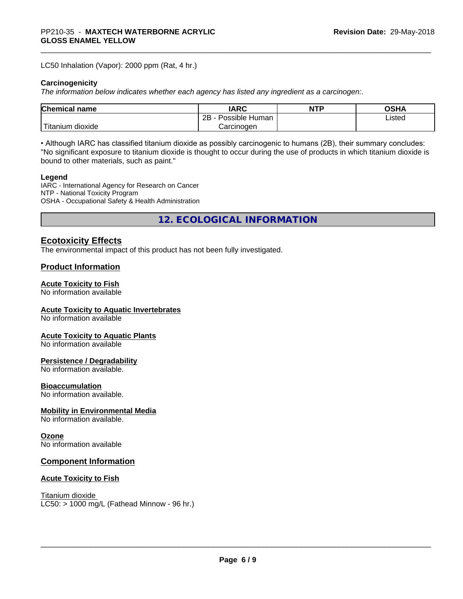LC50 Inhalation (Vapor): 2000 ppm (Rat, 4 hr.)

#### **Carcinogenicity**

*The information below indicateswhether each agency has listed any ingredient as a carcinogen:.*

| Chemical<br>`name      | <b>IARC</b>                  | <b>NTP</b> | <b>OSHA</b> |
|------------------------|------------------------------|------------|-------------|
|                        | .<br>2B<br>Human<br>Possible |            | ∟isted      |
| n dioxide<br>l itanıum | Carcinoɑen                   |            |             |

• Although IARC has classified titanium dioxide as possibly carcinogenic to humans (2B), their summary concludes: "No significant exposure to titanium dioxide is thought to occur during the use of products in which titanium dioxide is bound to other materials, such as paint."

#### **Legend**

IARC - International Agency for Research on Cancer NTP - National Toxicity Program OSHA - Occupational Safety & Health Administration

**12. ECOLOGICAL INFORMATION**

# **Ecotoxicity Effects**

The environmental impact of this product has not been fully investigated.

#### **Product Information**

#### **Acute Toxicity to Fish**

No information available

#### **Acute Toxicity to Aquatic Invertebrates**

No information available

#### **Acute Toxicity to Aquatic Plants**

No information available

#### **Persistence / Degradability**

No information available.

#### **Bioaccumulation**

No information available.

### **Mobility in Environmental Media**

No information available.

#### **Ozone**

No information available

#### **Component Information**

#### **Acute Toxicity to Fish**

Titanium dioxide  $LC50: > 1000$  mg/L (Fathead Minnow - 96 hr.)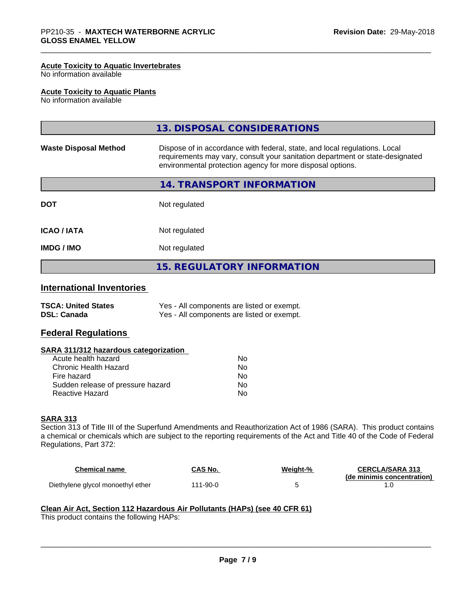#### **Acute Toxicity to Aquatic Invertebrates**

No information available

#### **Acute Toxicity to Aquatic Plants**

No information available

|                              | 13. DISPOSAL CONSIDERATIONS                                                                                                                                                                                               |
|------------------------------|---------------------------------------------------------------------------------------------------------------------------------------------------------------------------------------------------------------------------|
| <b>Waste Disposal Method</b> | Dispose of in accordance with federal, state, and local regulations. Local<br>requirements may vary, consult your sanitation department or state-designated<br>environmental protection agency for more disposal options. |
|                              | 14. TRANSPORT INFORMATION                                                                                                                                                                                                 |
| <b>DOT</b>                   | Not regulated                                                                                                                                                                                                             |
| <b>ICAO/IATA</b>             | Not regulated                                                                                                                                                                                                             |
| <b>IMDG / IMO</b>            | Not regulated                                                                                                                                                                                                             |
|                              | <b>15. REGULATORY INFORMATION</b>                                                                                                                                                                                         |

#### **International Inventories**

| <b>TSCA: United States</b> | Yes - All components are listed or exempt. |
|----------------------------|--------------------------------------------|
| <b>DSL: Canada</b>         | Yes - All components are listed or exempt. |

# **Federal Regulations**

#### **SARA 311/312 hazardous categorization**

| Acute health hazard               | Nο |
|-----------------------------------|----|
| Chronic Health Hazard             | Nο |
| Fire hazard                       | Nο |
| Sudden release of pressure hazard | N٥ |
| Reactive Hazard                   | N٥ |

#### **SARA 313**

Section 313 of Title III of the Superfund Amendments and Reauthorization Act of 1986 (SARA). This product contains a chemical or chemicals which are subject to the reporting requirements of the Act and Title 40 of the Code of Federal Regulations, Part 372:

| <b>Chemical name</b>              | CAS No.  | Weiaht-% | <b>CERCLA/SARA 313</b>     |
|-----------------------------------|----------|----------|----------------------------|
|                                   |          |          | (de minimis concentration) |
| Diethylene glycol monoethyl ether | 111-90-0 |          |                            |

# **Clean Air Act,Section 112 Hazardous Air Pollutants (HAPs) (see 40 CFR 61)**

This product contains the following HAPs: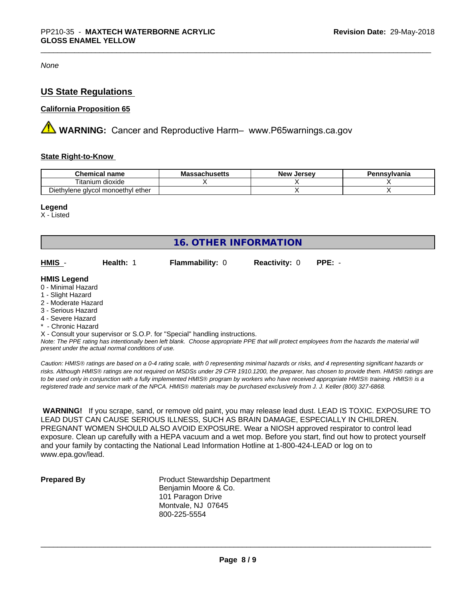*None*

# **US State Regulations**

#### **California Proposition 65**

**AN** WARNING: Cancer and Reproductive Harm– www.P65warnings.ca.gov

#### **State Right-to-Know**

| <b>Chemical name</b>                           | schueatte<br>Ma:<br>-- Culludeus | . Jerse∨<br>New | Pennsvlvania |
|------------------------------------------------|----------------------------------|-----------------|--------------|
| .<br>--<br>itanium<br>dioxide                  |                                  |                 |              |
| ether<br>l monoethvl<br>Diethylene<br>: alvcol |                                  |                 |              |

#### **Legend**

X - Listed

| <b>16. OTHER INFORMATION</b>                                                                                                                          |                                                    |                                                                            |                      |                                                                                                                                               |  |  |
|-------------------------------------------------------------------------------------------------------------------------------------------------------|----------------------------------------------------|----------------------------------------------------------------------------|----------------------|-----------------------------------------------------------------------------------------------------------------------------------------------|--|--|
| HMIS -                                                                                                                                                | Health: 1                                          | <b>Flammability: 0</b>                                                     | <b>Reactivity: 0</b> | $PPE: -$                                                                                                                                      |  |  |
| <b>HMIS Legend</b><br>0 - Minimal Hazard<br>1 - Slight Hazard<br>2 - Moderate Hazard<br>3 - Serious Hazard<br>4 - Severe Hazard<br>* - Chronic Hazard |                                                    |                                                                            |                      |                                                                                                                                               |  |  |
|                                                                                                                                                       | present under the actual normal conditions of use. | X - Consult your supervisor or S.O.P. for "Special" handling instructions. |                      | Note: The PPE rating has intentionally been left blank. Choose appropriate PPE that will protect employees from the hazards the material will |  |  |

*Caution: HMISÒ ratings are based on a 0-4 rating scale, with 0 representing minimal hazards or risks, and 4 representing significant hazards or risks. Although HMISÒ ratings are not required on MSDSs under 29 CFR 1910.1200, the preparer, has chosen to provide them. HMISÒ ratings are to be used only in conjunction with a fully implemented HMISÒ program by workers who have received appropriate HMISÒ training. HMISÒ is a registered trade and service mark of the NPCA. HMISÒ materials may be purchased exclusively from J. J. Keller (800) 327-6868.*

 **WARNING!** If you scrape, sand, or remove old paint, you may release lead dust. LEAD IS TOXIC. EXPOSURE TO LEAD DUST CAN CAUSE SERIOUS ILLNESS, SUCH AS BRAIN DAMAGE, ESPECIALLY IN CHILDREN. PREGNANT WOMEN SHOULD ALSO AVOID EXPOSURE. Wear a NIOSH approved respirator to control lead exposure. Clean up carefully with a HEPA vacuum and a wet mop. Before you start, find out how to protect yourself and your family by contacting the National Lead Information Hotline at 1-800-424-LEAD or log on to www.epa.gov/lead.

**Prepared By** Product Stewardship Department Benjamin Moore & Co. 101 Paragon Drive Montvale, NJ 07645 800-225-5554